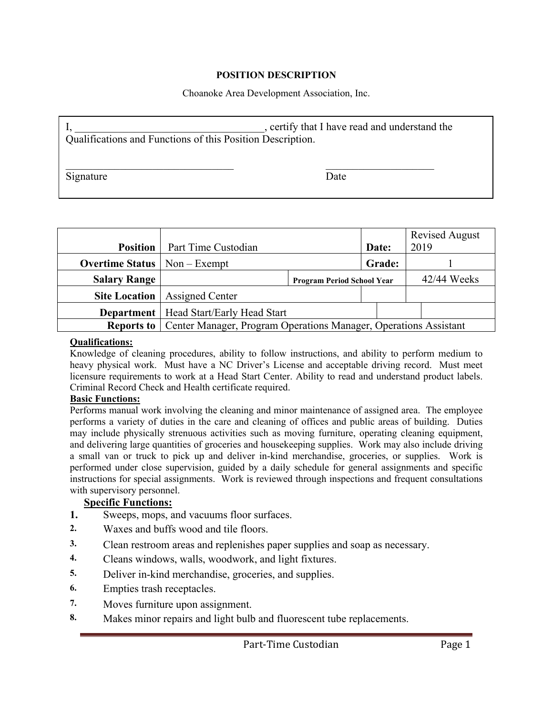# **POSITION DESCRIPTION**

Choanoke Area Development Association, Inc.

| Qualifications and Functions of this Position Description. | , certify that I have read and understand the |  |  |
|------------------------------------------------------------|-----------------------------------------------|--|--|
| Signature                                                  | Date                                          |  |  |

| <b>Position</b>                             | Part Time Custodian                                                                  |                                   | Date:  | <b>Revised August</b><br>2019 |  |
|---------------------------------------------|--------------------------------------------------------------------------------------|-----------------------------------|--------|-------------------------------|--|
| <b>Overtime Status</b> $\vert$ Non – Exempt |                                                                                      |                                   | Grade: |                               |  |
| <b>Salary Range</b>                         |                                                                                      | <b>Program Period School Year</b> |        | 42/44 Weeks                   |  |
|                                             | <b>Site Location</b>   Assigned Center                                               |                                   |        |                               |  |
|                                             | <b>Department</b>   Head Start/Early Head Start                                      |                                   |        |                               |  |
|                                             | <b>Reports to</b>   Center Manager, Program Operations Manager, Operations Assistant |                                   |        |                               |  |

#### **Qualifications:**

Knowledge of cleaning procedures, ability to follow instructions, and ability to perform medium to heavy physical work. Must have a NC Driver's License and acceptable driving record. Must meet licensure requirements to work at a Head Start Center. Ability to read and understand product labels. Criminal Record Check and Health certificate required.

### **Basic Functions:**

Performs manual work involving the cleaning and minor maintenance of assigned area. The employee performs a variety of duties in the care and cleaning of offices and public areas of building. Duties may include physically strenuous activities such as moving furniture, operating cleaning equipment, and delivering large quantities of groceries and housekeeping supplies. Work may also include driving a small van or truck to pick up and deliver in-kind merchandise, groceries, or supplies. Work is performed under close supervision, guided by a daily schedule for general assignments and specific instructions for special assignments. Work is reviewed through inspections and frequent consultations with supervisory personnel.

# **Specific Functions:**

- **1.** Sweeps, mops, and vacuums floor surfaces.
- **2.** Waxes and buffs wood and tile floors.
- **3.** Clean restroom areas and replenishes paper supplies and soap as necessary.
- **4.** Cleans windows, walls, woodwork, and light fixtures.
- **5.** Deliver in-kind merchandise, groceries, and supplies.
- **6.** Empties trash receptacles.
- **7.** Moves furniture upon assignment.
- **8.** Makes minor repairs and light bulb and fluorescent tube replacements.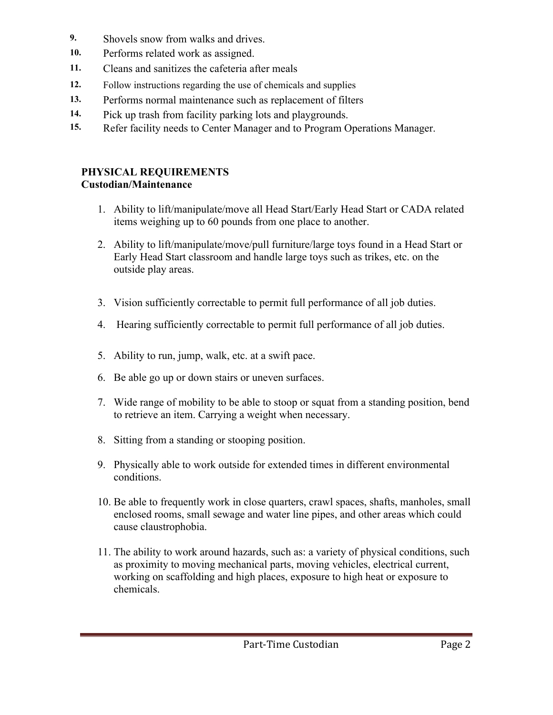- **9.** Shovels snow from walks and drives.
- **10.** Performs related work as assigned.
- **11.** Cleans and sanitizes the cafeteria after meals
- **12.** Follow instructions regarding the use of chemicals and supplies
- **13.** Performs normal maintenance such as replacement of filters
- **14.** Pick up trash from facility parking lots and playgrounds.
- **15.** Refer facility needs to Center Manager and to Program Operations Manager.

# **PHYSICAL REQUIREMENTS Custodian/Maintenance**

- 1. Ability to lift/manipulate/move all Head Start/Early Head Start or CADA related items weighing up to 60 pounds from one place to another.
- 2. Ability to lift/manipulate/move/pull furniture/large toys found in a Head Start or Early Head Start classroom and handle large toys such as trikes, etc. on the outside play areas.
- 3. Vision sufficiently correctable to permit full performance of all job duties.
- 4. Hearing sufficiently correctable to permit full performance of all job duties.
- 5. Ability to run, jump, walk, etc. at a swift pace.
- 6. Be able go up or down stairs or uneven surfaces.
- 7. Wide range of mobility to be able to stoop or squat from a standing position, bend to retrieve an item. Carrying a weight when necessary.
- 8. Sitting from a standing or stooping position.
- 9. Physically able to work outside for extended times in different environmental conditions.
- 10. Be able to frequently work in close quarters, crawl spaces, shafts, manholes, small enclosed rooms, small sewage and water line pipes, and other areas which could cause claustrophobia.
- 11. The ability to work around hazards, such as: a variety of physical conditions, such as proximity to moving mechanical parts, moving vehicles, electrical current, working on scaffolding and high places, exposure to high heat or exposure to chemicals.